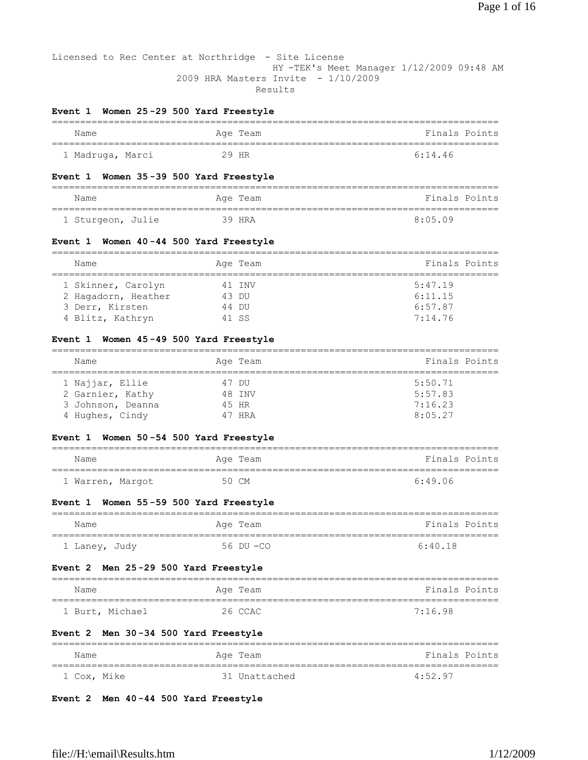Licensed to Rec Center at Northridge - Site License HY -TEK's Meet Manager 1/12/2009 09:48 AM 2009 HRA Masters Invite - 1/10/2009 Results

# **Event 1 Women 25 -29 500 Yard Freestyle**

| Name             | Age Team | Finals Points |
|------------------|----------|---------------|
|                  |          |               |
| 1 Madruga, Marci | 29 HR    | 6:14.46       |

#### **Event 1 Women 35 -39 500 Yard Freestyle**

| Name              | Age Team | Finals Points |
|-------------------|----------|---------------|
| 1 Sturgeon, Julie | 39 HRA   | 8:05.09       |

# **Event 1 Women 40 -44 500 Yard Freestyle**

|  | Name                |        | Age Team | Finals Points |
|--|---------------------|--------|----------|---------------|
|  | 1 Skinner, Carolyn  |        | 41 TNV   | 5:47.19       |
|  | 2 Hagadorn, Heather | 43 DU  |          | 6:11.15       |
|  | 3 Derr, Kirsten     | 44 DU  |          | 6:57.87       |
|  | 4 Blitz, Kathryn    | 41 S.S |          | 7:14.76       |

# **Event 1 Women 45 -49 500 Yard Freestyle**

| Name              | Age Team | Finals Points |  |  |
|-------------------|----------|---------------|--|--|
| 1 Najjar, Ellie   | 47 DU    | 5:50.71       |  |  |
| 2 Garnier, Kathy  | 48 TNV   | 5:57.83       |  |  |
| 3 Johnson, Deanna | 45 HR    | 7:16.23       |  |  |
| 4 Hughes, Cindy   | 47 HRA   | 8:05.27       |  |  |

# **Event 1 Women 50 -54 500 Yard Freestyle**

| Name             | Age Team | Finals Points |
|------------------|----------|---------------|
|                  |          |               |
| 1 Warren, Margot | 50 CM    | 6:49.06       |

# **Event 1 Women 55 -59 500 Yard Freestyle**

| Name          | Age Team  | Finals Points |
|---------------|-----------|---------------|
| 1 Laney, Judy | 56 DU -CO | 6:40.18       |

# **Event 2 Men 25 -29 500 Yard Freestyle**

| Name            | Age Team | Finals Points |
|-----------------|----------|---------------|
| 1 Burt, Michael | 26 CCAC  | 7.1698        |

# **Event 2 Men 30 -34 500 Yard Freestyle**

| Name        | Age Team      | Finals Points |
|-------------|---------------|---------------|
| 1 Cox, Mike | 31 Unattached | 4:52.97       |

#### **Event 2 Men 40 -44 500 Yard Freestyle**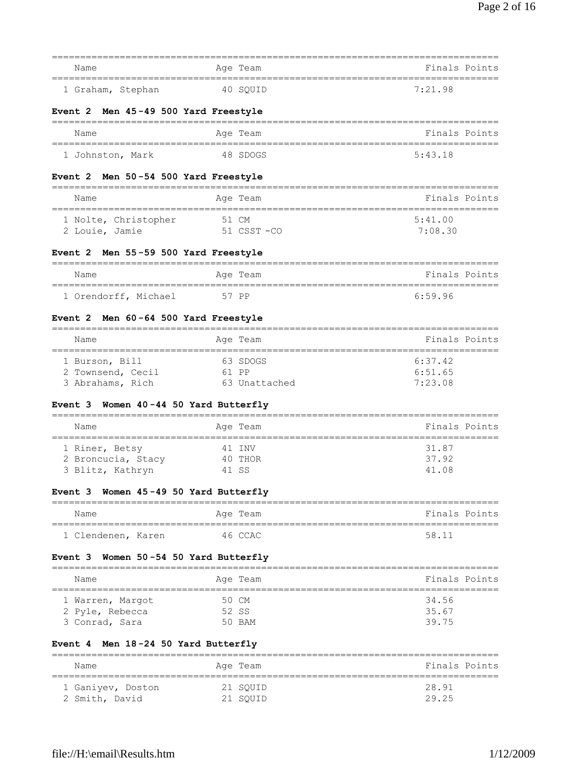| Name                                                                                                | Age Team                                       | Finals Points                                  |
|-----------------------------------------------------------------------------------------------------|------------------------------------------------|------------------------------------------------|
| 1 Graham, Stephan                                                                                   | 40 SOUID                                       | 7:21.98                                        |
| Event 2 Men 45-49 500 Yard Freestyle                                                                |                                                |                                                |
| =============<br>Name                                                                               | -============================<br>Age Team      | Finals Points                                  |
| 1 Johnston, Mark                                                                                    | 48 SDOGS                                       | 5:43.18                                        |
| Men 50-54 500 Yard Freestyle<br>Event 2                                                             |                                                |                                                |
| Name                                                                                                | Age Team                                       | Finals Points                                  |
| 1 Nolte, Christopher<br>2 Louie, Jamie                                                              | 51 CM<br>51 CSST-CO                            | ===============<br>5:41.00<br>7:08.30          |
| Men 55-59 500 Yard Freestyle<br>Event 2                                                             |                                                |                                                |
| Name                                                                                                | Age Team                                       | Finals Points                                  |
| =====================================<br>1 Orendorff, Michael                                       | 57 PP                                          | ===================================<br>6:59.96 |
| Event 2 Men 60-64 500 Yard Freestyle                                                                |                                                |                                                |
| Name                                                                                                | Age Team                                       | Finals Points                                  |
| 1 Burson, Bill<br>2 Townsend, Cecil<br>3 Abrahams, Rich<br>Women 40-44 50 Yard Butterfly<br>Event 3 | 63 SDOGS<br>61 PP<br>63 Unattached             | 6:37.42<br>6:51.65<br>7:23.08                  |
| Name                                                                                                | Age Team                                       | Finals Points                                  |
| 1 Riner, Betsy<br>2 Broncucia, Stacy<br>3 Blitz, Kathryn<br>Event 3 Women 45-49 50 Yard Butterfly   | 41 INV<br>40 THOR<br>41 SS                     | 31.87<br>37.92<br>41.08                        |
| Name                                                                                                | Age Team                                       | Finals Points                                  |
| 1 Clendenen, Karen                                                                                  | 46 CCAC                                        | ================================<br>58.11      |
| Women 50-54 50 Yard Butterfly<br>Event 3                                                            |                                                |                                                |
| ====================================<br>Name                                                        | ==================================<br>Age Team | Finals Points                                  |
| 1 Warren, Margot<br>2 Pyle, Rebecca<br>3 Conrad, Sara                                               | 50 CM<br>52 SS<br>50 BAM                       | 34.56<br>35.67<br>39.75                        |
| Event 4 Men 18-24 50 Yard Butterfly                                                                 |                                                |                                                |
| Name                                                                                                | Aqe Team                                       | Finals Points                                  |
| 1 Ganiyev, Doston<br>2 Smith, David                                                                 | 21 SQUID<br>21 SQUID                           | 28.91<br>29.25                                 |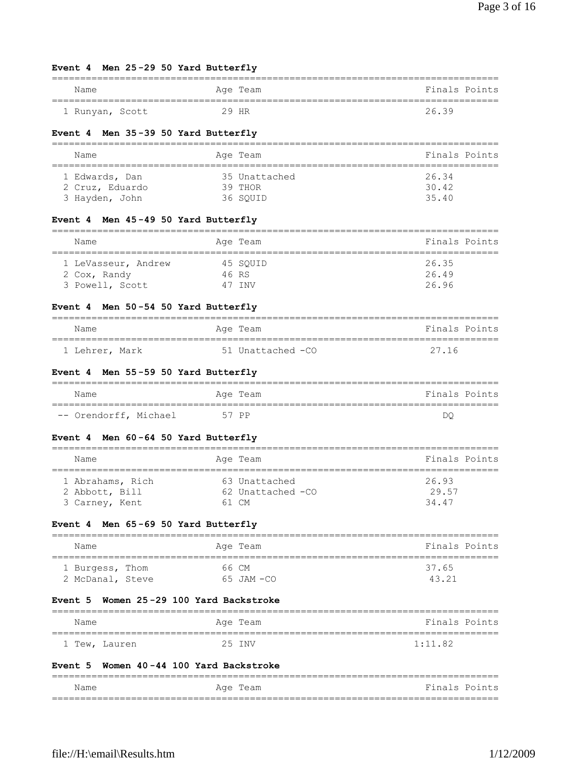# **Event 4 Men 25 -29 50 Yard Butterfly**

| Name            | Age Team | Finals Points |
|-----------------|----------|---------------|
| 1 Runyan, Scott | 29 HR    | 26.39         |

# **Event 4 Men 35 -39 50 Yard Butterfly**

| Name            | Age Team      | Finals Points |  |  |
|-----------------|---------------|---------------|--|--|
| 1 Edwards, Dan  | 35 Unattached | 26.34         |  |  |
| 2 Cruz, Eduardo | 39 THOR       | 30.42         |  |  |
| 3 Hayden, John  | 36 SOUID      | 35.40         |  |  |

# **Event 4 Men 45 -49 50 Yard Butterfly**

| Name                | Age Team | Finals Points |  |
|---------------------|----------|---------------|--|
| 1 LeVasseur, Andrew | 45 SOUID | 26.35         |  |
| 2 Cox, Randy        | 46 RS    | 26.49         |  |
| 3 Powell, Scott     | 47 TNV   | 26.96         |  |

# **Event 4 Men 50 -54 50 Yard Butterfly**

| Name           | Age Team          | Finals Points |
|----------------|-------------------|---------------|
| 1 Lehrer, Mark | 51 Unattached -CO | 27.16         |

#### **Event 4 Men 55 -59 50 Yard Butterfly**

| Name                  | Age Team | Finals Points |
|-----------------------|----------|---------------|
| -- Orendorff, Michael | 57 PP    | DO            |

# **Event 4 Men 60 -64 50 Yard Butterfly**

| Name                               | Age Team                           | Finals Points  |
|------------------------------------|------------------------------------|----------------|
| 1 Abrahams, Rich<br>2 Abbott, Bill | 63 Unattached<br>62 Unattached -CO | 26.93<br>29.57 |
| 3 Carney, Kent                     | 61 CM                              | 34.47          |

### **Event 4 Men 65 -69 50 Yard Butterfly**

| Name             | Age Team       | Finals Points |
|------------------|----------------|---------------|
| 1 Burgess, Thom  | 66 CM          | 37.65         |
| 2 McDanal, Steve | $65$ JAM $-CO$ | 43 21         |

# **Event 5 Women 25 -29 100 Yard Backstroke**

| Name          | Age Team | Finals Points |
|---------------|----------|---------------|
| 1 Tew, Lauren | 25 INV   | 1:11.82       |

# **Event 5 Women 40 -44 100 Yard Backstroke**

| Name | Team<br>Age | Finals Points |
|------|-------------|---------------|
|      |             |               |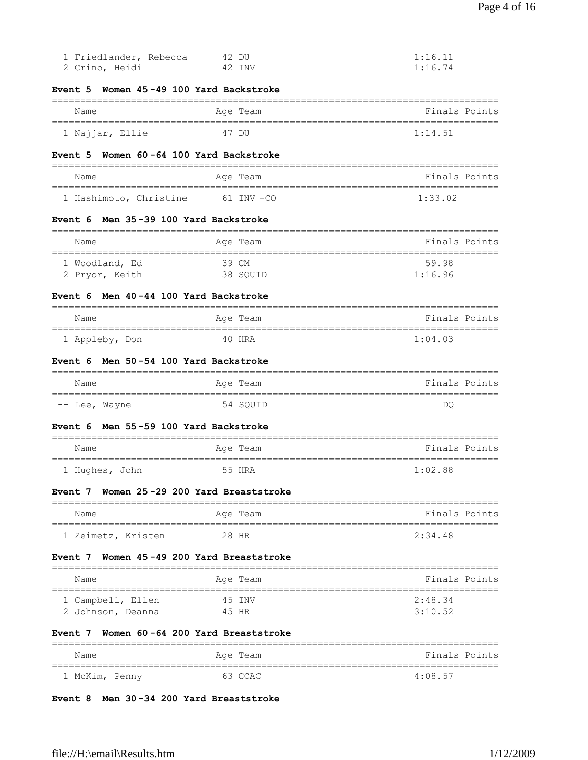| 1 Friedlander, Rebecca<br>2 Crino, Heidi            | 42 DU<br>42 INV   | 1:16.11<br>1:16.74                               |
|-----------------------------------------------------|-------------------|--------------------------------------------------|
| Women 45-49 100 Yard Backstroke<br>Event 5          |                   |                                                  |
| Name                                                | Age Team          | Finals Points                                    |
| 1 Najjar, Ellie                                     | 47 DU             | ________________________________<br>1:14.51      |
| Women 60-64 100 Yard Backstroke<br>Event 5          |                   |                                                  |
| Name                                                | Age Team          | Finals Points                                    |
| 1 Hashimoto, Christine                              | 61 INV -CO        | 1:33.02                                          |
| Men 35-39 100 Yard Backstroke<br>Event 6            |                   |                                                  |
| Name<br>====================================        | Age Team          | Finals Points<br>==========================      |
| 1 Woodland, Ed<br>2 Pryor, Keith                    | 39 CM<br>38 SQUID | 59.98<br>1:16.96                                 |
| Men 40-44 100 Yard Backstroke<br>Event 6            |                   |                                                  |
| Name                                                | Age Team          | Finals Points                                    |
| 1 Appleby, Don                                      | 40 HRA            | 1:04.03                                          |
| Men 50-54 100 Yard Backstroke<br>Event 6            |                   |                                                  |
| Name                                                | Age Team          | Finals Points                                    |
| -- Lee, Wayne                                       | 54 SQUID          | DQ.                                              |
| Men 55-59 100 Yard Backstroke<br>Event 6            |                   |                                                  |
| Name<br>===============================             | Age Team          | Finals Points<br>=============================== |
| 1 Hughes, John                                      | 55 HRA            | 1:02.88                                          |
| Women 25-29 200 Yard Breaststroke<br>Event 7        |                   |                                                  |
| Name                                                | Age Team          | Finals Points                                    |
| 1 Zeimetz, Kristen                                  | 28 HR             | 2:34.48                                          |
| Women 45-49 200 Yard Breaststroke<br>Event 7        | ---------         |                                                  |
| Name                                                | Age Team          | Finals Points                                    |
| 1 Campbell, Ellen<br>2 Johnson, Deanna              | 45 INV<br>45 HR   | 2:48.34<br>3:10.52                               |
| Women 60-64 200 Yard Breaststroke<br><b>Event</b> 7 |                   |                                                  |
| Name                                                | Age Team          | Finals Points                                    |
| 1 McKim, Penny                                      | 63 CCAC           | 4:08.57                                          |

# **Event 8 Men 30 -34 200 Yard Breaststroke**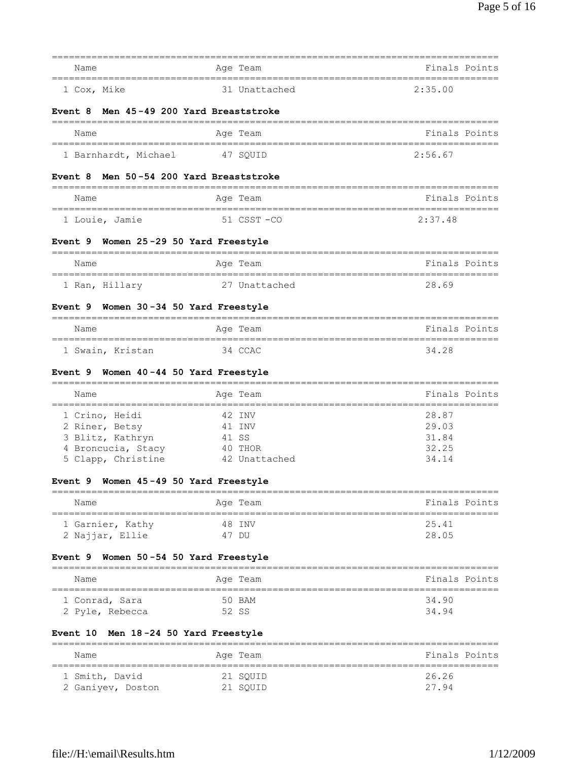| Name                                      | Age Team                                    | _____________________________________<br>Finals Points |
|-------------------------------------------|---------------------------------------------|--------------------------------------------------------|
|                                           |                                             |                                                        |
| 1 Cox, Mike                               | 31 Unattached                               | 2:35.00                                                |
| Event 8                                   | Men 45-49 200 Yard Breaststroke             |                                                        |
| Name                                      | Age Team                                    | Finals Points                                          |
| 1 Barnhardt, Michael                      | 47 SQUID                                    | 2:56.67                                                |
| <b>Event 8</b>                            | Men 50-54 200 Yard Breaststroke             |                                                        |
| Name                                      | Age Team                                    | Finals Points                                          |
| 1 Louie, Jamie                            | 51 CSST -CO                                 | 2:37.48                                                |
| Event 9 Women 25-29 50 Yard Freestyle     |                                             |                                                        |
| Name                                      | ===========<br>Age Team                     | -----------------------------<br>Finals Points         |
| 1 Ran, Hillary                            | 27 Unattached                               | 28.69                                                  |
| Event 9 Women 30-34 50 Yard Freestyle     |                                             |                                                        |
| Name                                      | Age Team                                    | Finals Points                                          |
| 1 Swain, Kristan                          | 34 CCAC                                     | 34.28                                                  |
| Women 40-44 50 Yard Freestyle<br>Event 9  |                                             |                                                        |
| Name                                      | Age Team                                    | Finals Points                                          |
| 1 Crino, Heidi                            | 42 INV                                      | 28.87                                                  |
| 2 Riner, Betsy                            | 41 INV                                      | 29.03                                                  |
| 3 Blitz, Kathryn                          | 41 SS                                       | 31.84                                                  |
| 4 Broncucia, Stacy                        | 40 THOR                                     | 32.25                                                  |
| 5 Clapp, Christine                        | 42 Unattached                               | 34.14                                                  |
| Women 45-49 50 Yard Freestyle<br>Event 9  |                                             |                                                        |
| Name<br>================================= | Age Team<br>=============================== | Finals Points                                          |
| 1 Garnier, Kathy                          | 48 INV                                      | 25.41                                                  |
| 2 Najjar, Ellie                           | 47 DU                                       | 28.05                                                  |
| Event 9<br>Women 50-54 50 Yard Freestyle  |                                             |                                                        |
| Name                                      | Age Team                                    | Finals Points                                          |
| 1 Conrad, Sara                            | 50 BAM                                      | 34.90                                                  |
| 2 Pyle, Rebecca                           | 52 SS                                       | 34.94                                                  |
| Men 18-24 50 Yard Freestyle<br>Event 10   |                                             |                                                        |
| Name                                      | Age Team                                    | Finals Points                                          |
| 1 Smith, David                            | 21 SQUID                                    | 26.26                                                  |
| 2 Ganiyev, Doston                         | 21 SQUID                                    | 27.94                                                  |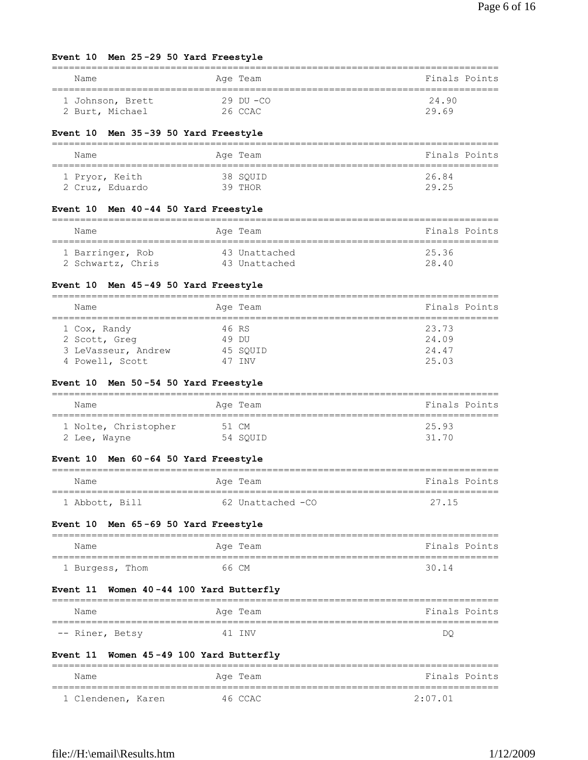# **Event 10 Men 25 -29 50 Yard Freestyle**

| Name             | Age Team       | Finals Points |
|------------------|----------------|---------------|
| 1 Johnson, Brett | $29$ DII $-CO$ | 24.90         |
| 2 Burt, Michael  | 26 CCAC        | 29.69         |

# **Event 10 Men 35 -39 50 Yard Freestyle**

| Name            | Age Team | Finals Points |
|-----------------|----------|---------------|
| 1 Pryor, Keith  | 38 SOUID | 26.84         |
| 2 Cruz, Eduardo | 39 THOR  | 29.25         |

# **Event 10 Men 40 -44 50 Yard Freestyle**

| Name              | Age Team      | Finals Points |
|-------------------|---------------|---------------|
| 1 Barringer, Rob  | 43 Unattached | 25.36         |
| 2 Schwartz, Chris | 43 Unattached | 28.40         |

# **Event 10 Men 45 -49 50 Yard Freestyle**

| Name                                                                    | Age Team                              | Finals Points                    |
|-------------------------------------------------------------------------|---------------------------------------|----------------------------------|
| 1 Cox, Randy<br>2 Scott, Greg<br>3 LeVasseur, Andrew<br>4 Powell, Scott | 46 RS<br>49 DIJ<br>45 SOUID<br>47 TNV | 23.73<br>24.09<br>24.47<br>25.03 |

# **Event 10 Men 50 -54 50 Yard Freestyle**

| Name                 | Age Team | Finals Points |
|----------------------|----------|---------------|
| 1 Nolte, Christopher | 51 CM    | 25.93         |
| 2 Lee, Wayne         | 54 SOUID | 31 70         |

# **Event 10 Men 60 -64 50 Yard Freestyle**

| Name           | Age Team          | Finals Points |
|----------------|-------------------|---------------|
| 1 Abbott, Bill | 62 Unattached -CO | 27.15         |

# **Event 10 Men 65 -69 50 Yard Freestyle**

| Name            | Age Team | Finals Points |
|-----------------|----------|---------------|
| 1 Burgess, Thom | 66 CM    | 30.14         |

# **Event 11 Women 40 -44 100 Yard Butterfly**

| Name            | Age Team   | Finals Points |
|-----------------|------------|---------------|
|                 |            |               |
| -- Riner, Betsy | T NV<br>41 | DC            |

# **Event 11 Women 45 -49 100 Yard Butterfly**

| Name               | Age Team | Finals Points |
|--------------------|----------|---------------|
| 1 Clendenen, Karen | 46 CCAC  | 2:07.01       |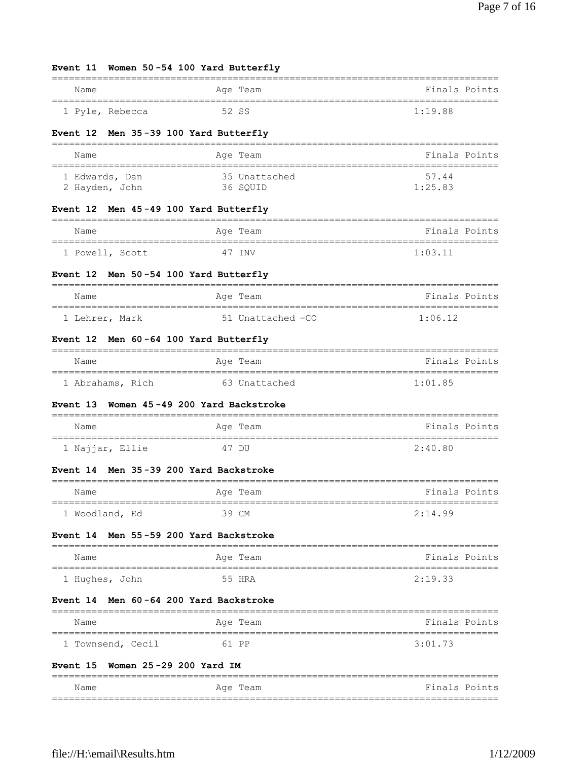| Event 11 Women 50-54 100 Yard Butterfly          |                                 |                                 |
|--------------------------------------------------|---------------------------------|---------------------------------|
| Name                                             | Age Team                        | Finals Points                   |
| 1 Pyle, Rebecca                                  | 52 SS                           | 1:19.88                         |
| Men 35-39 100 Yard Butterfly<br><b>Event 12</b>  |                                 |                                 |
| Name                                             | Age Team                        | Finals Points                   |
| 1 Edwards, Dan<br>2 Hayden, John                 | 35 Unattached<br>36 SQUID       | 57.44<br>1:25.83                |
| Event 12 Men 45-49 100 Yard Butterfly            |                                 |                                 |
| Name                                             | Age Team                        | Finals Points                   |
| 1 Powell, Scott                                  | 47 INV                          | 1:03.11                         |
| Event 12 Men 50-54 100 Yard Butterfly            |                                 |                                 |
| Name                                             | Age Team                        | Finals Points                   |
| 1 Lehrer, Mark                                   | 51 Unattached -CO               | 1:06.12                         |
| Event 12 Men 60-64 100 Yard Butterfly            |                                 |                                 |
| Name                                             | Age Team                        | Finals Points                   |
| 1 Abrahams, Rich 63 Unattached                   |                                 | 1:01.85                         |
| <b>Event 13</b>                                  | Women 45-49 200 Yard Backstroke |                                 |
| Name                                             | Age Team                        | Finals Points                   |
| 1 Najjar, Ellie                                  | 47 DU                           | 2:40.80                         |
| Event 14 Men 35-39 200 Yard Backstroke           |                                 |                                 |
| Name                                             | Age Team                        | <b>Example 19 Finals Points</b> |
| 1 Woodland, Ed                                   | 39 CM                           | 2:14.99                         |
| Men 55-59 200 Yard Backstroke<br><b>Event 14</b> |                                 |                                 |
| Name                                             | Age Team                        | Finals Points                   |
| 1 Hughes, John                                   | 55 HRA                          | 2:19.33                         |
| Event 14 Men 60-64 200 Yard Backstroke           |                                 |                                 |
| Name                                             | Age Team                        | Finals Points                   |
| 1 Townsend, Cecil                                | 61 PP                           | 3:01.73                         |
| Women 25-29 200 Yard IM<br><b>Event 15</b>       |                                 |                                 |
| Name                                             | Age Team                        | Finals Points                   |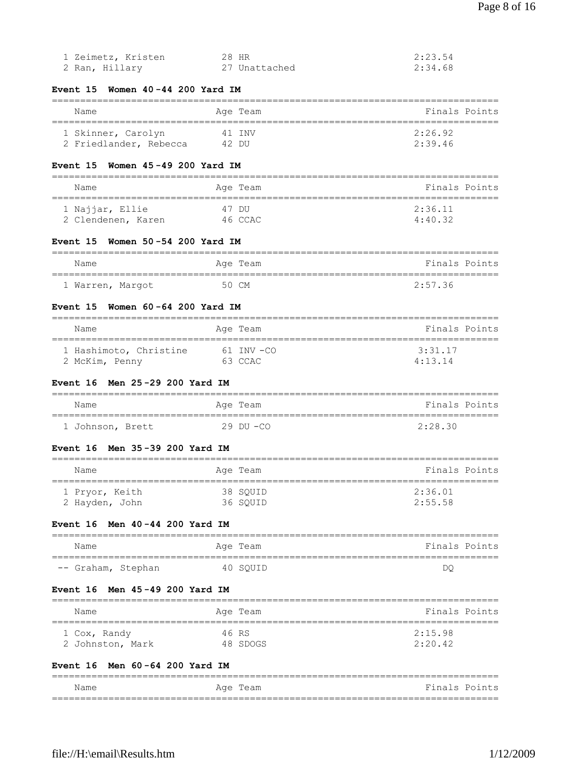| 1 Zeimetz, Kristen | 28 HR         | 2:23.54 |
|--------------------|---------------|---------|
| 2 Ran, Hillary     | 27 Unattached | 2:34.68 |

# **Event 15 Women 40 -44 200 Yard IM**

# =============================================================================== Name **Age Team** Age Team **Finals Points** =============================================================================== 1 Skinner, Carolyn

| T SKTHHET, CATOTAH     | 4 L LINV | 2.ZO.JZ |
|------------------------|----------|---------|
| 2 Friedlander, Rebecca | 42 DU    | 2:39.46 |
|                        |          |         |

# **Event 15 Women 45 -49 200 Yard IM**

| Name               | Age Team | Finals Points |
|--------------------|----------|---------------|
| 1 Najjar, Ellie    | 47 DU    | 2:36.11       |
| 2 Clendenen, Karen | 46 CCAC  | 4:40.32       |

#### **Event 15 Women 50 -54 200 Yard IM**

| Name             | Age Team | Finals Points |
|------------------|----------|---------------|
| 1 Warren, Margot | 50 CM    | 2:57.36       |

## **Event 15 Women 60 -64 200 Yard IM**

| Name                   | Age Team       | Finals Points   |
|------------------------|----------------|-----------------|
| 1 Hashimoto, Christine | $61$ TNV $-CO$ | 3:31.17         |
| 2 McKim, Penny         | 63 CCAC        | $4 \cdot 13$ 14 |

#### **Event 16 Men 25 -29 200 Yard IM**

| Name             | Age Team      | Finals Points |
|------------------|---------------|---------------|
| 1 Johnson, Brett | $29$ DU $-CO$ | 2:28.30       |

#### **Event 16 Men 35 -39 200 Yard IM**

| Name           | Age Team | Finals Points |
|----------------|----------|---------------|
| 1 Pryor, Keith | 38 SOUID | 2:36.01       |
| 2 Hayden, John | 36 SOUID | 2:55.58       |

### **Event 16 Men 40 -44 200 Yard IM**

| Name               |  | Age Team | Finals Points |
|--------------------|--|----------|---------------|
| -- Graham, Stephan |  | 40 SOUID | DQ            |

#### **Event 16 Men 45 -49 200 Yard IM**

| Name             | Age Team | Finals Points |
|------------------|----------|---------------|
| 1 Cox, Randy     | 46 RS    | 2:15.98       |
| 2 Johnston, Mark | 48 SDOGS | 2:20.42       |

# **Event 16 Men 60 -64 200 Yard IM**

| Name | Team<br>Age | Finals Points |
|------|-------------|---------------|
|      |             |               |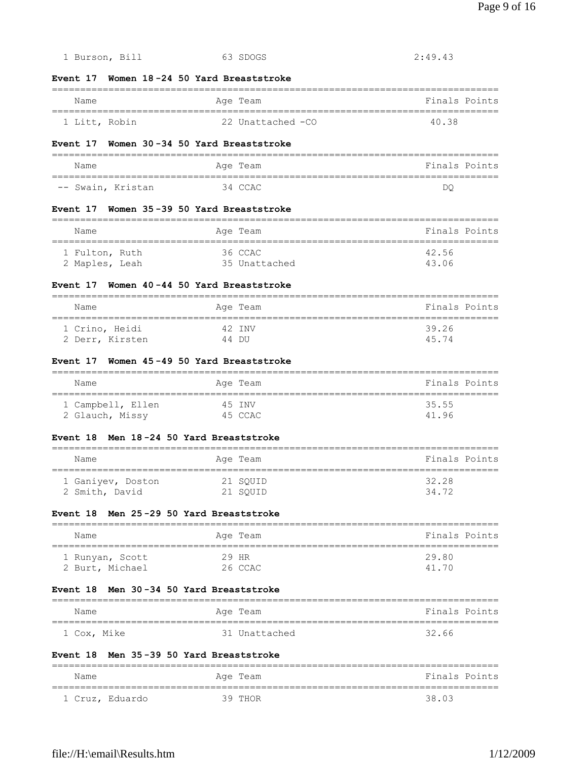| Event 17 Women 30-34 50 Yard Breaststroke                                         |                                              |                                                        |
|-----------------------------------------------------------------------------------|----------------------------------------------|--------------------------------------------------------|
| Name                                                                              | Age Team                                     | Finals Points                                          |
| -- Swain, Kristan                                                                 | 34 CCAC                                      | DQ.                                                    |
| Event 17 Women 35-39 50 Yard Breaststroke                                         |                                              |                                                        |
| Name                                                                              | ===========<br>Age Team                      | Finals Points                                          |
| ===============================<br>1 Fulton, Ruth<br>2 Maples, Leah 35 Unattached | $36$ CCAC                                    | 42.56<br>43.06                                         |
| Event 17 Women 40-44 50 Yard Breaststroke                                         |                                              |                                                        |
| Name                                                                              | Age Team                                     | Finals Points<br>===================================== |
| 1 Crino, Heidi<br>2 Derr, Kirsten 44 DU                                           | 42 INV                                       | 39.26<br>45.74                                         |
| Event 17 Women 45-49 50 Yard Breaststroke<br>==================================== |                                              | =====================================                  |
| Name<br>=====================================                                     | Age Team<br>================================ | Finals Points                                          |
| 1 Campbell, Ellen 45 INV<br>2 Glauch, Missy                                       | 45 CCAC                                      | 35.55<br>41.96                                         |
| Event 18 Men 18-24 50 Yard Breaststroke                                           |                                              |                                                        |
| Name                                                                              | Age Team                                     | Finals Points                                          |
| 1 Ganiyev, Doston<br>2 Smith, David                                               | 21 SQUID<br>21 SQUID                         | 32.28<br>34.72                                         |
| Event 18 Men 25-29 50 Yard Breaststroke                                           |                                              |                                                        |
| Name                                                                              | Age Team                                     | Finals Points<br>==========<br>:==================     |
| 1 Runyan, Scott<br>2 Burt, Michael                                                | 29 HR<br>26 CCAC                             | 29.80<br>41.70                                         |
| Event 18  Men 30–34 50 Yard Breaststroke                                          |                                              | ======                                                 |
| Name<br>==================                                                        | Age Team<br>=========                        | Finals Points                                          |
| 1 Cox, Mike                                                                       | 31 Unattached                                | 32.66                                                  |
| Event 18 Men 35-39 50 Yard Breaststroke                                           |                                              |                                                        |
| $===$                                                                             |                                              |                                                        |

# **Event 17 Women 18 -24 50 Yard Breaststroke**

| Name          | Age Team           | Finals Points |
|---------------|--------------------|---------------|
| 1 Litt, Robin | -22 Unattached -CO | 4038          |

1 Burson, Bill 63 SDOGS 2:49.43

#### $Event$

| Name              | Age Team | Finals Points |
|-------------------|----------|---------------|
|                   |          |               |
| -- Swain, Kristan | 34 CCAC  | DC            |

#### Event

| 42.56<br>36 CCAC<br>1 Fulton, Ruth<br>43.06<br>35 Unattached<br>2 Maples, Leah |  |
|--------------------------------------------------------------------------------|--|

| Name            | Age Team | Finals Points |
|-----------------|----------|---------------|
| 1 Crino, Heidi  | 42 TNV   | 39.26         |
| 2 Derr, Kirsten | 44 DU    | 45 74         |

#### Event

| Name              | Age Team | Finals Points |  |
|-------------------|----------|---------------|--|
| 1 Campbell, Ellen | 45 TNV   | 35.55         |  |
| 2 Glauch, Missy   | 45 CCAC  | 41 96         |  |

# Event

| Name              | Age Team | Finals Points |
|-------------------|----------|---------------|
| 1 Ganiyev, Doston | 21 SOUID | 32.28         |
| 2 Smith, David    | 21 SOUID | 34 72         |

# Event

| Name            | Age Team | Finals Points |
|-----------------|----------|---------------|
| 1 Runyan, Scott | 29 HR    | 29.80         |
| 2 Burt, Michael | 26 CCAC  | 41 70         |

# Event

| Name        | Age Team      | Finals Points |
|-------------|---------------|---------------|
| 1 Cox, Mike | 31 Unattached | 32.66         |

# Event

| Name |                 | Age Team | Finals Points |
|------|-----------------|----------|---------------|
|      | 1 Cruz, Eduardo | 39 THOR  | 38.03         |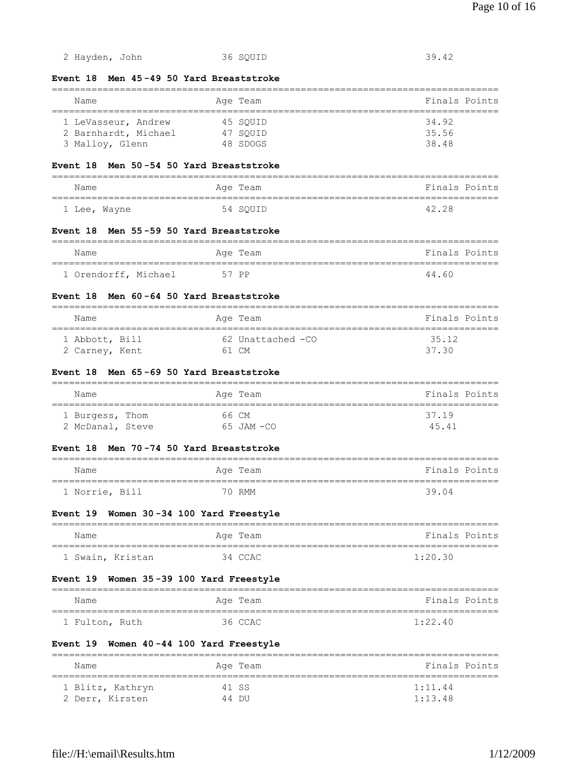**Event 18 Men 45 -49 50 Yard Breaststroke** =============================================================================== Name Age Team Age Team Finals Points =============================================================================== 1 LeVasseur, Andrew 45 SQUID 34.92 2 Barnhardt, Michael 47 SQUID 35.56 3 Malloy, Glenn 48 SDOGS 38.48 **Event 18 Men 50 -54 50 Yard Breaststroke** =============================================================================== Name **Age Team Age Team** Rimals Points =============================================================================== 1 Lee, Wayne 54 SQUID 42.28 **Event 18 Men 55 -59 50 Yard Breaststroke** =============================================================================== Name Age Team Age Team Finals Points =============================================================================== 1 Orendorff, Michael 57 PP 44.60 **Event 18 Men 60 -64 50 Yard Breaststroke** =============================================================================== Name Age Team Age Team Finals Points =============================================================================== 1 Abbott, Bill 62 Unattached -CO 35.12 2 Carney, Kent 61 CM 37.30 **Event 18 Men 65 -69 50 Yard Breaststroke** =============================================================================== Name Age Team Age Team Finals Points =============================================================================== 1 Burgess, Thom 66 CM 37.19 2 McDanal, Steve 65 JAM -CO 45.41 **Event 18 Men 70 -74 50 Yard Breaststroke** =============================================================================== Name Age Team Age Team Finals Points =============================================================================== 1 Norrie, Bill 70 RMM 39.04 **Event 19 Women 30 -34 100 Yard Freestyle** =============================================================================== Name Age Team Age Team Finals Points =============================================================================== 1 Swain, Kristan 34 CCAC 1:20.30 **Event 19 Women 35 -39 100 Yard Freestyle** =============================================================================== Name **Age Team** Age Team **Finals Points** =============================================================================== 1 Fulton, Ruth 36 CCAC 1:22.40 **Event 19 Women 40 -44 100 Yard Freestyle** =============================================================================== Name **Age Team** Age Team **Finals Points** 

2 Hayden, John 36 SQUID 39.42

=============================================================================== 1 Blitz, Kathryn 41 SS 1:11.44 2 Derr, Kirsten 44 DU 1:13.48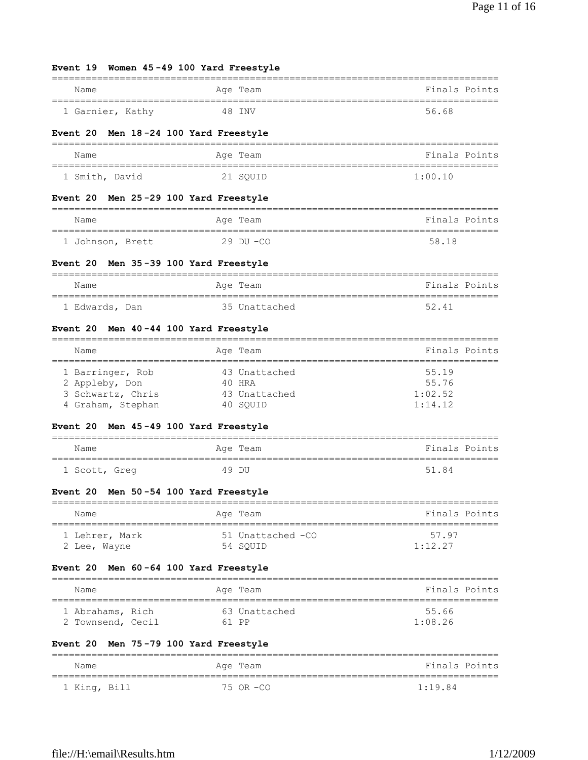# **Event 19 Women 45 -49 100 Yard Freestyle**

| Name             | Age Team | Finals Points |
|------------------|----------|---------------|
| 1 Garnier, Kathy | 48 TNV   | 56.68         |

# **Event 20 Men 18 -24 100 Yard Freestyle**

| Name           | Age Team | Finals Points |
|----------------|----------|---------------|
| 1 Smith, David | 21 SOUID | 1:00.10       |

# **Event 20 Men 25 -29 100 Yard Freestyle**

| Name             | Age Team      | Finals Points |
|------------------|---------------|---------------|
| 1 Johnson, Brett | $29$ DU $-CO$ | 58 18         |

# **Event 20 Men 35 -39 100 Yard Freestyle**

| Name           | Age Team      | Finals Points |
|----------------|---------------|---------------|
| 1 Edwards, Dan | 35 Unattached | 52 41         |

# **Event 20 Men 40 -44 100 Yard Freestyle**

| Name              | Age Team      | Finals Points |
|-------------------|---------------|---------------|
|                   |               |               |
| 1 Barringer, Rob  | 43 Unattached | 55.19         |
| 2 Appleby, Don    | 40 HRA        | 55.76         |
| 3 Schwartz, Chris | 43 Unattached | 1:02.52       |
| 4 Graham, Stephan | 40 SOUID      | 1:14.12       |

# **Event 20 Men 45 -49 100 Yard Freestyle**

| Name          | Age Team | Finals Points |
|---------------|----------|---------------|
| 1 Scott, Greg | 49 DU    | 51.84         |

# **Event 20 Men 50 -54 100 Yard Freestyle**

| Name           | Age Team          | Finals Points |
|----------------|-------------------|---------------|
| 1 Lehrer, Mark | 51 Unattached -CO | 57 97         |
| 2 Lee, Wayne   | 54 SOUID          | 1:12.27       |

# **Event 20 Men 60 -64 100 Yard Freestyle**

| Name              |         | Age Team      | Finals Points |
|-------------------|---------|---------------|---------------|
| 1 Abrahams, Rich  |         | 63 Unattached | 55.66         |
| 2 Townsend, Cecil | $61$ PP |               | 1:08.26       |

# **Event 20 Men 75 -79 100 Yard Freestyle**

| Name         | Age Team  | Finals Points |
|--------------|-----------|---------------|
| 1 King, Bill | 75 OR -CO | 1:19.84       |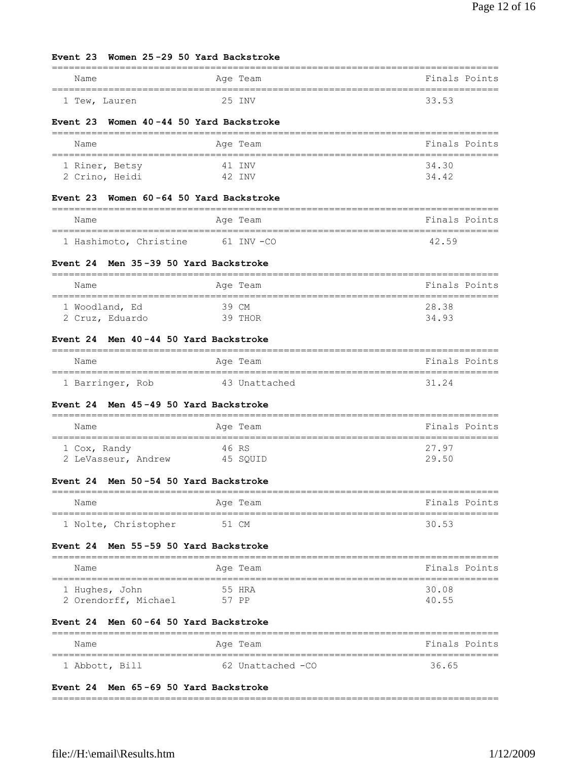# **Event 23 Women 25 -29 50 Yard Backstroke**

| Name          | Age Team | Finals Points |
|---------------|----------|---------------|
| 1 Tew, Lauren | 25 TNV   | 33.53         |

# **Event 23 Women 40 -44 50 Yard Backstroke**

| Name           | Age Team | Finals Points |
|----------------|----------|---------------|
| 1 Riner, Betsy | 41 TNV   | 34.30         |
| 2 Crino, Heidi | 42 TNV   | 34 42         |

# **Event 23 Women 60 -64 50 Yard Backstroke**

| Name                   | Age Team       | Finals Points |
|------------------------|----------------|---------------|
| 1 Hashimoto, Christine | $61$ TNV $-CO$ | 42 59         |

# **Event 24 Men 35 -39 50 Yard Backstroke**

| Name            | Age Team | Finals Points |
|-----------------|----------|---------------|
| 1 Woodland, Ed  | 39 CM    | 28.38         |
| 2 Cruz, Eduardo | 39 THOR  | 34.93         |

# **Event 24 Men 40 -44 50 Yard Backstroke**

| Name             | Age Team      | Finals Points |  |
|------------------|---------------|---------------|--|
| 1 Barringer, Rob | 43 Unattached | 31 24         |  |

# **Event 24 Men 45 -49 50 Yard Backstroke**

| Name                | Age Team | Finals Points |
|---------------------|----------|---------------|
| 1 Cox, Randy        | 46 RS    | 27.97         |
| 2 LeVasseur, Andrew | 45 SOUID | 29.50         |

# **Event 24 Men 50 -54 50 Yard Backstroke**

| Name                 | Age Team | Finals Points |
|----------------------|----------|---------------|
| 1 Nolte, Christopher | 51 CM    | 30.53         |

# **Event 24 Men 55 -59 50 Yard Backstroke**

| Name                 | Age Team | Finals Points |
|----------------------|----------|---------------|
| 1 Hughes, John       | 55 HRA   | 30.08         |
| 2 Orendorff, Michael | 57 PP    | 40.55         |

# **Event 24 Men 60 -64 50 Yard Backstroke**

| Name           | Age Team          | Finals Points |
|----------------|-------------------|---------------|
| 1 Abbott, Bill | 62 Unattached -CO | 36.65         |

# **Event 24 Men 65 -69 50 Yard Backstroke**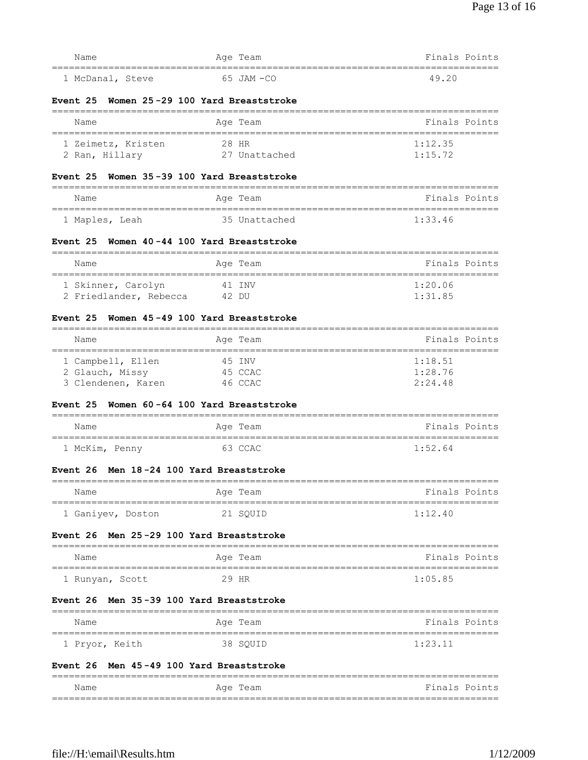| 1 McDanal, Steve                                          | 65 JAM-CO                             | 49.20                                               |
|-----------------------------------------------------------|---------------------------------------|-----------------------------------------------------|
| Event 25                                                  | Women 25-29 100 Yard Breaststroke     |                                                     |
| Name<br>========================                          | Age Team                              | Finals Points                                       |
| 1 Zeimetz, Kristen                                        | 28 HR                                 | 1:12.35                                             |
| 2 Ran, Hillary                                            | 27 Unattached                         | 1:15.72                                             |
| Event 25                                                  | Women 35-39 100 Yard Breaststroke     |                                                     |
| Name                                                      | Age Team                              | Finals Points                                       |
| 1 Maples, Leah                                            | 35 Unattached                         | 1:33.46                                             |
| Event 25                                                  | Women 40-44 100 Yard Breaststroke     |                                                     |
| Name<br>=====================================             | Age Team                              | Finals Points                                       |
| 1 Skinner, Carolyn                                        | 41 INV                                | 1:20.06                                             |
| 2 Friedlander, Rebecca                                    | 42 DU                                 | 1:31.85                                             |
| Event 25                                                  | Women 45-49 100 Yard Breaststroke     |                                                     |
| Name                                                      | Age Team                              | Finals Points<br>---------------------------------- |
| -===================================<br>1 Campbell, Ellen | 45 INV                                | 1:18.51                                             |
| 2 Glauch, Missy                                           | 45 CCAC                               | 1:28.76                                             |
| 3 Clendenen, Karen                                        | 46 CCAC                               | 2:24.48                                             |
| <b>Event 25</b>                                           | Women 60-64 100 Yard Breaststroke     |                                                     |
| Name                                                      | Age Team                              | Finals Points                                       |
| 1 McKim, Penny                                            | 63 CCAC                               | 1:52.64                                             |
| Event 26                                                  | Men 18-24 100 Yard Breaststroke       |                                                     |
| Name                                                      | =========================<br>Age Team | ========================<br>Finals Points           |
| =======================<br>1 Ganiyev, Doston              | 21 SQUID                              | 1:12.40                                             |
| Event 26                                                  | Men 25-29 100 Yard Breaststroke       |                                                     |
| Name                                                      | Age Team                              | Finals Points                                       |
| ===============================<br>1 Runyan, Scott        | 29 HR                                 | ============================<br>1:05.85             |
| <b>Event 26</b>                                           | Men 35-39 100 Yard Breaststroke       |                                                     |
| Name                                                      | Aqe Team                              | Finals Points                                       |
| 1 Pryor, Keith                                            | 38 SQUID                              | 1:23.11                                             |
| Event 26 Men 45-49 100 Yard Breaststroke                  |                                       |                                                     |

Name **Age Team** Age Team Finals Points ===============================================================================

|               |                       | ___                               |
|---------------|-----------------------|-----------------------------------|
| Name<br>_____ | Age<br>'l'eam<br>____ | Finals<br>Points<br>$\sim$ $\sim$ |
|               |                       | --<br>--                          |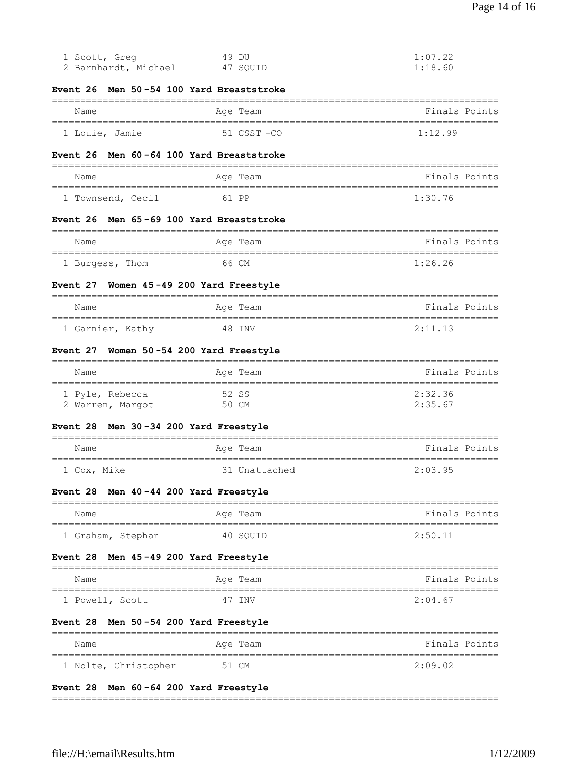| 1 Scott, Greg<br>2 Barnhardt, Michael                | 49 DU<br>47 SQUID                        | 1:07.22<br>1:18.60 |
|------------------------------------------------------|------------------------------------------|--------------------|
| Men 50-54 100 Yard Breaststroke<br>Event 26          |                                          |                    |
| Name                                                 | Age Team                                 | Finals Points      |
| ==================================<br>1 Louie, Jamie | ==========================<br>51 CSST-CO | 1:12.99            |
| Men 60-64 100 Yard Breaststroke<br><b>Event 26</b>   |                                          |                    |
|                                                      |                                          |                    |
| Name                                                 | Age Team                                 | Finals Points      |
| 1 Townsend, Cecil                                    | 61 PP                                    | 1:30.76            |
| Men 65-69 100 Yard Breaststroke<br>Event 26          |                                          |                    |
| Name                                                 | Age Team                                 | Finals Points      |
| 1 Burgess, Thom                                      | 66 CM                                    | 1:26.26            |
| Women 45-49 200 Yard Freestyle<br>Event 27           |                                          |                    |
| Name                                                 | Age Team                                 | Finals Points      |
| 1 Garnier, Kathy                                     | 48 INV                                   | 2:11.13            |
| Women 50-54 200 Yard Freestyle<br><b>Event 27</b>    |                                          |                    |
| Name                                                 | Age Team                                 | Finals Points      |
| 1 Pyle, Rebecca<br>2 Warren, Margot                  | 52 SS<br>50 CM                           | 2:32.36<br>2:35.67 |
| Men 30-34 200 Yard Freestyle<br>Event 28             |                                          |                    |
| Name                                                 | Age Team<br>==================           | Finals Points      |
| 1 Cox, Mike                                          | 31 Unattached                            | 2:03.95            |
| Men 40-44 200 Yard Freestyle<br>Event 28             |                                          |                    |
| Name                                                 | Aqe Team                                 | Finals Points      |
| 1 Graham, Stephan                                    | 40 SOUID                                 | 2:50.11            |
| Men 45-49 200 Yard Freestyle<br>Event 28             |                                          |                    |
| ===========<br>Name                                  | ==============<br>Age Team               | Finals Points      |
| 1 Powell, Scott                                      | 47 INV                                   | 2:04.67            |
| Men 50-54 200 Yard Freestyle<br><b>Event 28</b>      |                                          |                    |
| Name                                                 | Age Team                                 | Finals Points      |
| 1 Nolte, Christopher                                 |                                          |                    |

# **Event 28 Men 60 -64 200 Yard Freestyle**

===============================================================================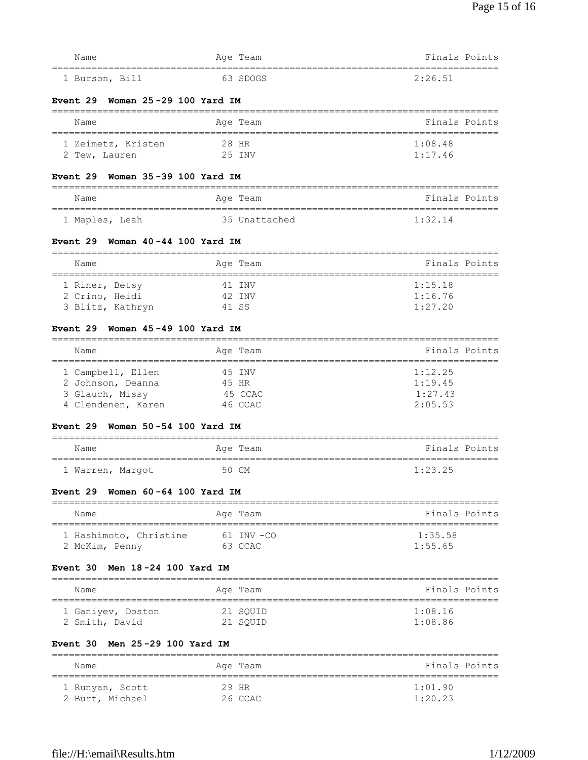| Name                                                                            | Age Team                  | Finals Points                          |
|---------------------------------------------------------------------------------|---------------------------|----------------------------------------|
| Men 25-29 100 Yard IM<br><b>Event 30</b>                                        |                           |                                        |
| 1 Ganiyev, Doston<br>2 Smith, David                                             | 21 SQUID<br>21 SQUID      | 1:08.16<br>1:08.86                     |
| Name                                                                            | Age Team                  | Finals Points                          |
| Men 18-24 100 Yard IM<br><b>Event 30</b>                                        |                           |                                        |
| 2 McKim, Penny                                                                  |                           |                                        |
| 1 Hashimoto, Christine                                                          | $61$ INV $-CO$<br>63 CCAC | 1:35.58<br>1:55.65                     |
| Name                                                                            | Age Team                  | Finals Points                          |
| Event 29 Women 60-64 100 Yard IM<br>________________________                    |                           |                                        |
| 1 Warren, Margot                                                                | 50 CM                     | 1:23.25                                |
| Name                                                                            | Age Team                  | Finals Points                          |
| Women 50-54 100 Yard IM<br><b>Event 29</b>                                      |                           |                                        |
| 4 Clendenen, Karen                                                              | 46 CCAC                   | 2:05.53                                |
| 2 Johnson, Deanna<br>3 Glauch, Missy                                            | 45 HR<br>45 CCAC          | 1:19.45<br>1:27.43                     |
| 1 Campbell, Ellen                                                               | 45 INV                    | 1:12.25                                |
| Name                                                                            | Age Team                  | Finals Points                          |
| Women 45-49 100 Yard IM<br><b>Event 29</b>                                      |                           |                                        |
| 3 Blitz, Kathryn                                                                | 41 SS                     | 1:27.20                                |
| 2 Crino, Heidi                                                                  | 42 INV                    | 1:16.76                                |
| 1 Riner, Betsy                                                                  | 41 INV                    | 1:15.18                                |
| Name                                                                            | Age Team                  | Finals Points                          |
| Women 40-44 100 Yard IM<br><b>Event 29</b>                                      |                           |                                        |
| 1 Maples, Leah                                                                  | 35 Unattached             | 1:32.14                                |
| Name                                                                            | Age Team                  | Finals Points                          |
| Women 35-39 100 Yard IM<br><b>Event 29</b>                                      |                           |                                        |
| 1 Zeimetz, Kristen<br>2 Tew, Lauren                                             | 28 HR<br>25 INV           | 1:08.48<br>1:17.46                     |
| Name<br>=================                                                       | Age Team                  | Finals Points<br>--------------------- |
| Women 25-29 100 Yard IM<br><b>Event 29</b><br>--------------------------------- |                           |                                        |
| 1 Burson, Bill                                                                  | 63 SDOGS                  | 2:26.51                                |
| Name                                                                            | Age Team                  | Finals Points                          |
|                                                                                 |                           |                                        |

 1 Runyan, Scott 29 HR 1:01.90 2 Burt, Michael 26 CCAC 1:20.23